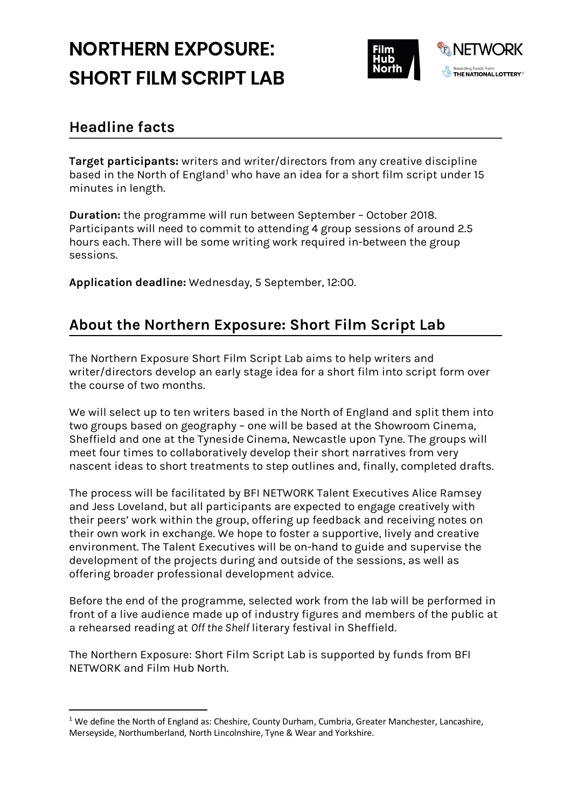# **NORTHERN EXPOSURE: SHORT FILM SCRIPT LAB**



### **Headline facts**

**Target participants:** writers and writer/directors from any creative discipline based in the North of England<sup>1</sup> who have an idea for a short film script under 15 minutes in length.

**Duration:** the programme will run between September – October 2018. Participants will need to commit to attending 4 group sessions of around 2.5 hours each. There will be some writing work required in-between the group sessions.

**Application deadline:** Wednesday, 5 September, 12:00.

## **About the Northern Exposure: Short Film Script Lab**

The Northern Exposure Short Film Script Lab aims to help writers and writer/directors develop an early stage idea for a short film into script form over the course of two months.

We will select up to ten writers based in the North of England and split them into two groups based on geography – one will be based at the Showroom Cinema, Sheffield and one at the Tyneside Cinema, Newcastle upon Tyne. The groups will meet four times to collaboratively develop their short narratives from very nascent ideas to short treatments to step outlines and, finally, completed drafts.

The process will be facilitated by BFI NETWORK Talent Executives Alice Ramsey and Jess Loveland, but all participants are expected to engage creatively with their peers' work within the group, offering up feedback and receiving notes on their own work in exchange. We hope to foster a supportive, lively and creative environment. The Talent Executives will be on-hand to guide and supervise the development of the projects during and outside of the sessions, as well as offering broader professional development advice.

Before the end of the programme, selected work from the lab will be performed in front of a live audience made up of industry figures and members of the public at a rehearsed reading at *Off the Shelf* literary festival in Sheffield.

The Northern Exposure: Short Film Script Lab is supported by funds from BFI NETWORK and Film Hub North.

 $1$  We define the North of England as: Cheshire, County Durham, Cumbria, Greater Manchester, Lancashire, Merseyside, Northumberland, North Lincolnshire, Tyne & Wear and Yorkshire.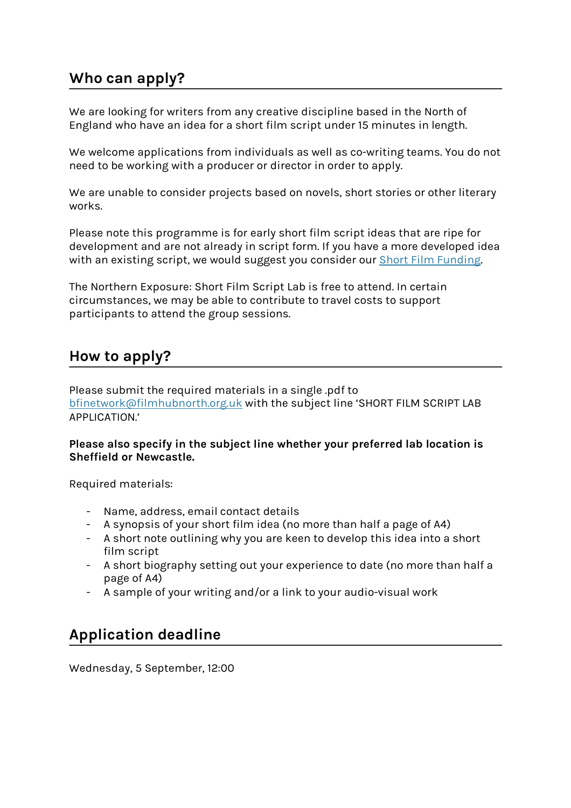### **Who can apply?**

We are looking for writers from any creative discipline based in the North of England who have an idea for a short film script under 15 minutes in length.

We welcome applications from individuals as well as co-writing teams. You do not need to be working with a producer or director in order to apply.

We are unable to consider projects based on novels, short stories or other literary works.

Please note this programme is for early short film script ideas that are ripe for development and are not already in script form. If you have a more developed idea with an existing script, we would suggest you consider our Short Film Funding.

The Northern Exposure: Short Film Script Lab is free to attend. In certain circumstances, we may be able to contribute to travel costs to support participants to attend the group sessions.

#### **How to apply?**

Please submit the required materials in a single .pdf to bfinetwork@filmhubnorth.org.uk with the subject line 'SHORT FILM SCRIPT LAB APPLICATION.'

**Please also specify in the subject line whether your preferred lab location is Sheffield or Newcastle.**

Required materials:

- Name, address, email contact details
- A synopsis of your short film idea (no more than half a page of A4)
- A short note outlining why you are keen to develop this idea into a short film script
- A short biography setting out your experience to date (no more than half a page of A4)
- A sample of your writing and/or a link to your audio-visual work

## **Application deadline**

Wednesday, 5 September, 12:00